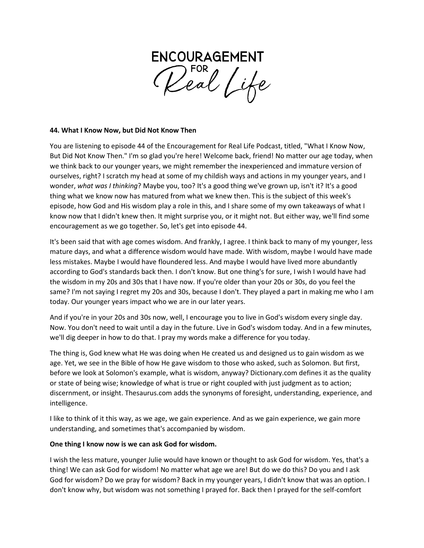

### **44. What I Know Now, but Did Not Know Then**

You are listening to episode 44 of the Encouragement for Real Life Podcast, titled, "What I Know Now, But Did Not Know Then." I'm so glad you're here! Welcome back, friend! No matter our age today, when we think back to our younger years, we might remember the inexperienced and immature version of ourselves, right? I scratch my head at some of my childish ways and actions in my younger years, and I wonder, *what was I thinking*? Maybe you, too? It's a good thing we've grown up, isn't it? It's a good thing what we know now has matured from what we knew then. This is the subject of this week's episode, how God and His wisdom play a role in this, and I share some of my own takeaways of what I know now that I didn't knew then. It might surprise you, or it might not. But either way, we'll find some encouragement as we go together. So, let's get into episode 44.

It's been said that with age comes wisdom. And frankly, I agree. I think back to many of my younger, less mature days, and what a difference wisdom would have made. With wisdom, maybe I would have made less mistakes. Maybe I would have floundered less. And maybe I would have lived more abundantly according to God's standards back then. I don't know. But one thing's for sure, I wish I would have had the wisdom in my 20s and 30s that I have now. If you're older than your 20s or 30s, do you feel the same? I'm not saying I regret my 20s and 30s, because I don't. They played a part in making me who I am today. Our younger years impact who we are in our later years.

And if you're in your 20s and 30s now, well, I encourage you to live in God's wisdom every single day. Now. You don't need to wait until a day in the future. Live in God's wisdom today. And in a few minutes, we'll dig deeper in how to do that. I pray my words make a difference for you today.

The thing is, God knew what He was doing when He created us and designed us to gain wisdom as we age. Yet, we see in the Bible of how He gave wisdom to those who asked, such as Solomon. But first, before we look at Solomon's example, what is wisdom, anyway? Dictionary.com defines it as the quality or state of being wise; knowledge of what is true or right coupled with just judgment as to action; discernment, or insight. Thesaurus.com adds the synonyms of foresight, understanding, experience, and intelligence.

I like to think of it this way, as we age, we gain experience. And as we gain experience, we gain more understanding, and sometimes that's accompanied by wisdom.

## **One thing I know now is we can ask God for wisdom.**

I wish the less mature, younger Julie would have known or thought to ask God for wisdom. Yes, that's a thing! We can ask God for wisdom! No matter what age we are! But do we do this? Do you and I ask God for wisdom? Do we pray for wisdom? Back in my younger years, I didn't know that was an option. I don't know why, but wisdom was not something I prayed for. Back then I prayed for the self-comfort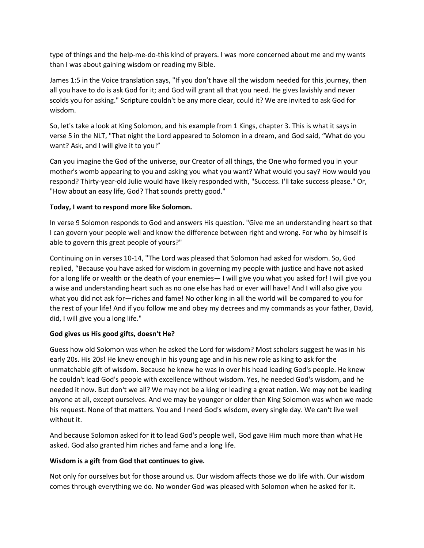type of things and the help-me-do-this kind of prayers. I was more concerned about me and my wants than I was about gaining wisdom or reading my Bible.

James 1:5 in the Voice translation says, "If you don't have all the wisdom needed for this journey, then all you have to do is ask God for it; and God will grant all that you need. He gives lavishly and never scolds you for asking." Scripture couldn't be any more clear, could it? We are invited to ask God for wisdom.

So, let's take a look at King Solomon, and his example from 1 Kings, chapter 3. This is what it says in verse 5 in the NLT, "That night the Lord appeared to Solomon in a dream, and God said, "What do you want? Ask, and I will give it to you!"

Can you imagine the God of the universe, our Creator of all things, the One who formed you in your mother's womb appearing to you and asking you what you want? What would you say? How would you respond? Thirty-year-old Julie would have likely responded with, "Success. I'll take success please." Or, "How about an easy life, God? That sounds pretty good."

# **Today, I want to respond more like Solomon.**

In verse 9 Solomon responds to God and answers His question. "Give me an understanding heart so that I can govern your people well and know the difference between right and wrong. For who by himself is able to govern this great people of yours?"

Continuing on in verses 10-14, "The Lord was pleased that Solomon had asked for wisdom. So, God replied, "Because you have asked for wisdom in governing my people with justice and have not asked for a long life or wealth or the death of your enemies— I will give you what you asked for! I will give you a wise and understanding heart such as no one else has had or ever will have! And I will also give you what you did not ask for—riches and fame! No other king in all the world will be compared to you for the rest of your life! And if you follow me and obey my decrees and my commands as your father, David, did, I will give you a long life."

## **God gives us His good gifts, doesn't He?**

Guess how old Solomon was when he asked the Lord for wisdom? Most scholars suggest he was in his early 20s. His 20s! He knew enough in his young age and in his new role as king to ask for the unmatchable gift of wisdom. Because he knew he was in over his head leading God's people. He knew he couldn't lead God's people with excellence without wisdom. Yes, he needed God's wisdom, and he needed it now. But don't we all? We may not be a king or leading a great nation. We may not be leading anyone at all, except ourselves. And we may be younger or older than King Solomon was when we made his request. None of that matters. You and I need God's wisdom, every single day. We can't live well without it.

And because Solomon asked for it to lead God's people well, God gave Him much more than what He asked. God also granted him riches and fame and a long life.

# **Wisdom is a gift from God that continues to give.**

Not only for ourselves but for those around us. Our wisdom affects those we do life with. Our wisdom comes through everything we do. No wonder God was pleased with Solomon when he asked for it.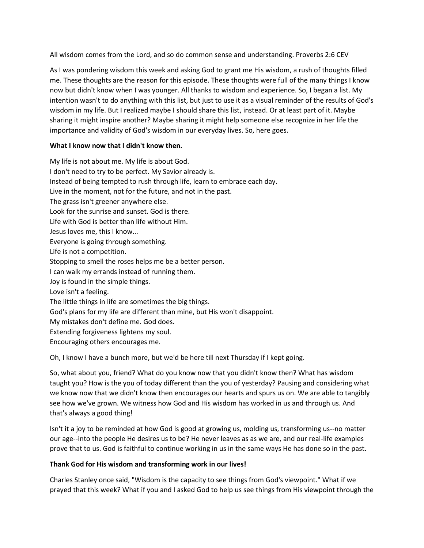All wisdom comes from the Lord, and so do common sense and understanding. Proverbs 2:6 CEV

As I was pondering wisdom this week and asking God to grant me His wisdom, a rush of thoughts filled me. These thoughts are the reason for this episode. These thoughts were full of the many things I know now but didn't know when I was younger. All thanks to wisdom and experience. So, I began a list. My intention wasn't to do anything with this list, but just to use it as a visual reminder of the results of God's wisdom in my life. But I realized maybe I should share this list, instead. Or at least part of it. Maybe sharing it might inspire another? Maybe sharing it might help someone else recognize in her life the importance and validity of God's wisdom in our everyday lives. So, here goes.

### **What I know now that I didn't know then.**

My life is not about me. My life is about God. I don't need to try to be perfect. My Savior already is. Instead of being tempted to rush through life, learn to embrace each day. Live in the moment, not for the future, and not in the past. The grass isn't greener anywhere else. Look for the sunrise and sunset. God is there. Life with God is better than life without Him. Jesus loves me, this I know... Everyone is going through something. Life is not a competition. Stopping to smell the roses helps me be a better person. I can walk my errands instead of running them. Joy is found in the simple things. Love isn't a feeling. The little things in life are sometimes the big things. God's plans for my life are different than mine, but His won't disappoint. My mistakes don't define me. God does. Extending forgiveness lightens my soul. Encouraging others encourages me.

Oh, I know I have a bunch more, but we'd be here till next Thursday if I kept going.

So, what about you, friend? What do you know now that you didn't know then? What has wisdom taught you? How is the you of today different than the you of yesterday? Pausing and considering what we know now that we didn't know then encourages our hearts and spurs us on. We are able to tangibly see how we've grown. We witness how God and His wisdom has worked in us and through us. And that's always a good thing!

Isn't it a joy to be reminded at how God is good at growing us, molding us, transforming us--no matter our age--into the people He desires us to be? He never leaves as as we are, and our real-life examples prove that to us. God is faithful to continue working in us in the same ways He has done so in the past.

## **Thank God for His wisdom and transforming work in our lives!**

Charles Stanley once said, "Wisdom is the capacity to see things from God's viewpoint." What if we prayed that this week? What if you and I asked God to help us see things from His viewpoint through the